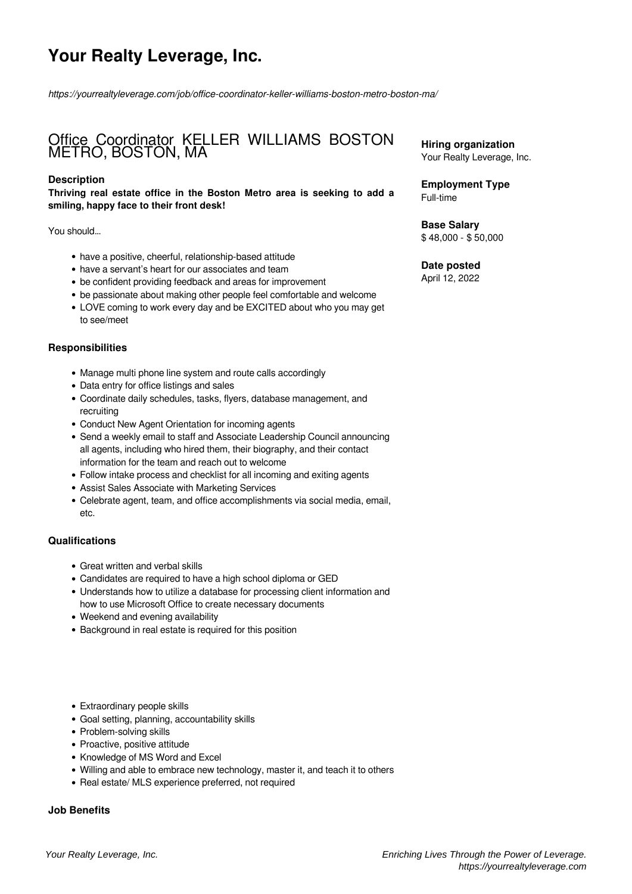# **Your Realty Leverage, Inc.**

*https://yourrealtyleverage.com/job/office-coordinator-keller-williams-boston-metro-boston-ma/*

## Office Coordinator KELLER WILLIAMS BOSTON METRO, BOSTON, MA

### **Description**

**Thriving real estate office in the Boston Metro area is seeking to add a smiling, happy face to their front desk!**

You should…

- have a positive, cheerful, relationship-based attitude
- have a servant's heart for our associates and team
- be confident providing feedback and areas for improvement
- be passionate about making other people feel comfortable and welcome
- LOVE coming to work every day and be EXCITED about who you may get to see/meet

#### **Responsibilities**

- Manage multi phone line system and route calls accordingly
- Data entry for office listings and sales
- Coordinate daily schedules, tasks, flyers, database management, and recruiting
- Conduct New Agent Orientation for incoming agents
- Send a weekly email to staff and Associate Leadership Council announcing all agents, including who hired them, their biography, and their contact information for the team and reach out to welcome
- Follow intake process and checklist for all incoming and exiting agents
- Assist Sales Associate with Marketing Services
- Celebrate agent, team, and office accomplishments via social media, email, etc.

#### **Qualifications**

- Great written and verbal skills
- Candidates are required to have a high school diploma or GED
- Understands how to utilize a database for processing client information and how to use Microsoft Office to create necessary documents
- Weekend and evening availability
- Background in real estate is required for this position
- Extraordinary people skills
- Goal setting, planning, accountability skills
- Problem-solving skills
- Proactive, positive attitude
- Knowledge of MS Word and Excel
- Willing and able to embrace new technology, master it, and teach it to others
- Real estate/ MLS experience preferred, not required

#### **Job Benefits**

**Hiring organization** Your Realty Leverage, Inc.

**Employment Type** Full-time

**Base Salary** \$ 48,000 - \$ 50,000

## **Date posted**

April 12, 2022